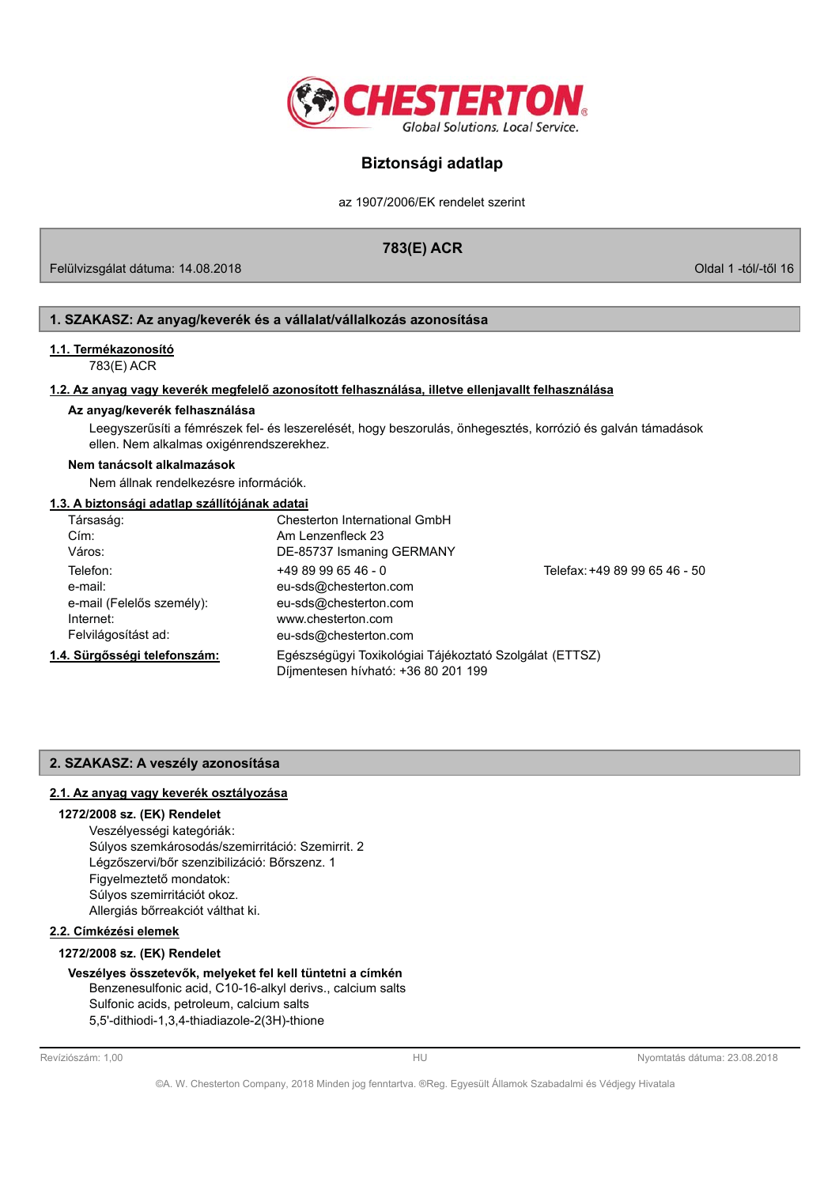

az 1907/2006/EK rendelet szerint

## 783(E) ACR

Felülvizsgálat dátuma: 14.08.2018

Oldal 1 -tól/-től 16

### 1. SZAKASZ: Az anyag/keverék és a vállalat/vállalkozás azonosítása

## 1.1. Termékazonosító

783(E) ACR

### 1.2. Az anyag vagy keverék megfelelő azonosított felhasználása, illetve ellenjavallt felhasználása

### Az anyag/keverék felhasználása

Leegyszerűsíti a fémrészek fel- és leszerelését, hogy beszorulás, önhegesztés, korrózió és galván támadások ellen. Nem alkalmas oxigénrendszerekhez.

### Nem tanácsolt alkalmazások

Nem állnak rendelkezésre információk.

## 1.3. A biztonsági adatlap szállítójának adatai

| Társaság:                    | Chesterton International GmbH                                                                  |                               |
|------------------------------|------------------------------------------------------------------------------------------------|-------------------------------|
| Cím:                         | Am Lenzenfleck 23                                                                              |                               |
| Város:                       | DE-85737 Ismaning GERMANY                                                                      |                               |
| Telefon:                     | $+4989996546 - 0$                                                                              | Telefax: +49 89 99 65 46 - 50 |
| e-mail:                      | eu-sds@chesterton.com                                                                          |                               |
| e-mail (Felelős személy):    | eu-sds@chesterton.com                                                                          |                               |
| Internet:                    | www.chesterton.com                                                                             |                               |
| Felvilágosítást ad:          | eu-sds@chesterton.com                                                                          |                               |
| 1.4. Sürgősségi telefonszám: | Egészségügyi Toxikológiai Tájékoztató Szolgálat (ETTSZ)<br>Díimentesen hívható: +36 80 201 199 |                               |

### 2. SZAKASZ: A veszély azonosítása

### 2.1. Az anyag vagy keverék osztályozása

### 1272/2008 sz. (EK) Rendelet

Veszélyességi kategóriák: Súlyos szemkárosodás/szemirritáció: Szemirrit. 2 Légzőszervi/bőr szenzibilizáció: Bőrszenz. 1 Figyelmeztető mondatok: Súlyos szemirritációt okoz. Allergiás bőrreakciót válthat ki.

### 2.2. Címkézési elemek

### 1272/2008 sz. (EK) Rendelet

Veszélyes összetevők, melyeket fel kell tüntetni a címkén Benzenesulfonic acid, C10-16-alkyl derivs., calcium salts Sulfonic acids, petroleum, calcium salts 5,5'-dithiodi-1,3,4-thiadiazole-2(3H)-thione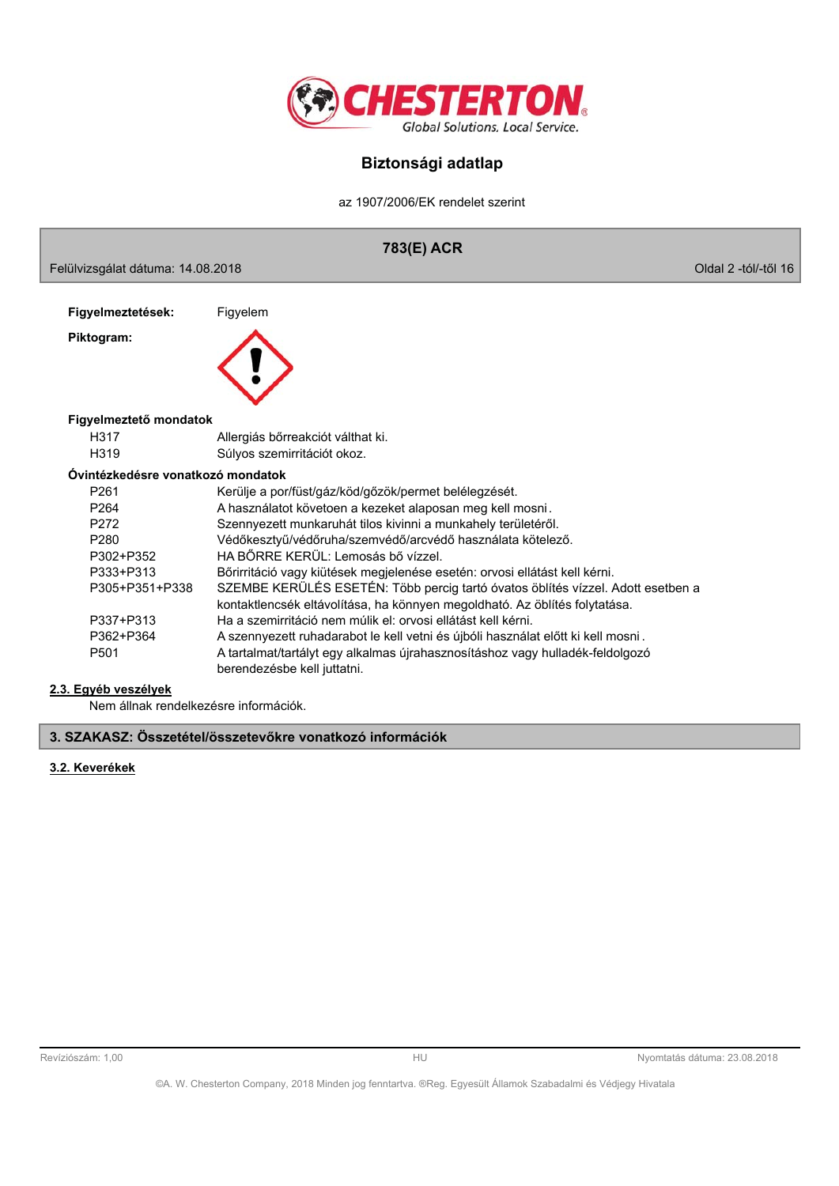

az 1907/2006/EK rendelet szerint

783(E) ACR Felülvizsgálat dátuma: 14.08.2018 Oldal 2 -tól/-től 16 Figyelmeztetések: Figyelem Piktogram: Figyelmeztető mondatok H317 Allergiás bőrreakciót válthat ki. H319 Súlyos szemirritációt okoz. Óvintézkedésre vonatkozó mondatok P<sub>261</sub> Kerülje a por/füst/gáz/köd/gőzök/permet belélegzését. P<sub>264</sub> A használatot követoen a kezeket alaposan meg kell mosni. P272 Szennyezett munkaruhát tilos kivinni a munkahely területéről. P280 Védőkesztyű/védőruha/szemvédő/arcvédő használata kötelező. P302+P352 HA BŐRRE KERÜL: Lemosás bő vízzel. P333+P313 Bőrirritáció vagy kiütések megjelenése esetén: orvosi ellátást kell kérni. P305+P351+P338 SZEMBE KERÜLÉS ESETÉN: Több percig tartó óvatos öblítés vízzel. Adott esetben a kontaktlencsék eltávolítása, ha könnyen megoldható. Az öblítés folytatása. P337+P313 Ha a szemirritáció nem múlik el: orvosi ellátást kell kérni. P362+P364 A szennyezett ruhadarabot le kell vetni és újbóli használat előtt ki kell mosni. P501 A tartalmat/tartályt egy alkalmas újrahasznosításhoz vagy hulladék-feldolgozó berendezésbe kell juttatni. 2.3. Egyéb veszélyek Nem állnak rendelkezésre információk.

## 3. SZAKASZ: Összetétel/összetevőkre vonatkozó információk

## 3.2. Keverékek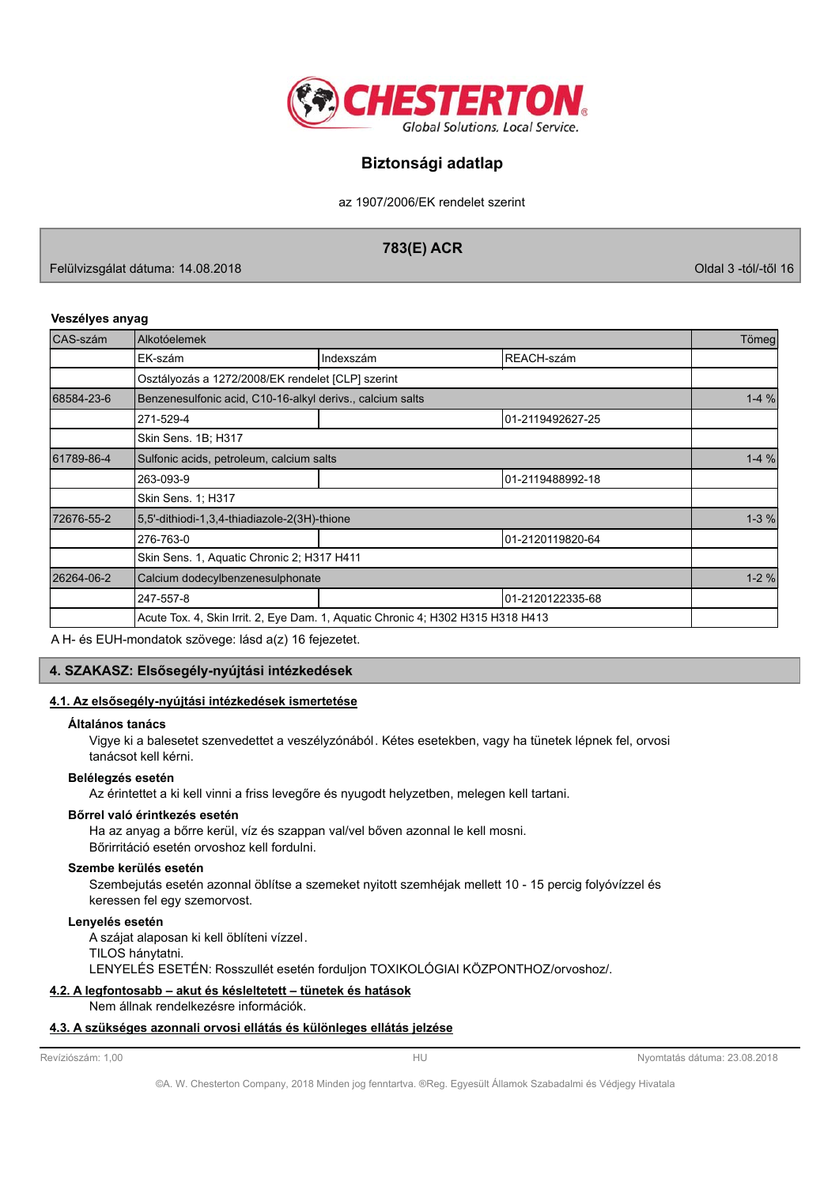

### az 1907/2006/EK rendelet szerint

783(E) ACR

Felülvizsgálat dátuma: 14.08.2018

Oldal 3 -tól/-től 16

### Veszélyes anyag

| CAS-szám   | Alkotóelemek                                                                    |           |                  | Tömegl    |
|------------|---------------------------------------------------------------------------------|-----------|------------------|-----------|
|            | EK-szám                                                                         | Indexszám | REACH-szám       |           |
|            | Osztályozás a 1272/2008/EK rendelet [CLP] szerint                               |           |                  |           |
| 68584-23-6 | Benzenesulfonic acid, C10-16-alkyl derivs., calcium salts                       |           |                  | $1 - 4 %$ |
|            | 271-529-4                                                                       |           | 01-2119492627-25 |           |
|            | Skin Sens. 1B; H317                                                             |           |                  |           |
| 61789-86-4 | Sulfonic acids, petroleum, calcium salts                                        |           |                  | $1-4%$    |
|            | 263-093-9                                                                       |           | 01-2119488992-18 |           |
|            | Skin Sens. 1; H317                                                              |           |                  |           |
| 72676-55-2 | 5,5'-dithiodi-1,3,4-thiadiazole-2(3H)-thione                                    |           |                  | $1 - 3 %$ |
|            | 276-763-0                                                                       |           | 01-2120119820-64 |           |
|            | Skin Sens. 1, Aquatic Chronic 2; H317 H411                                      |           |                  |           |
| 26264-06-2 | Calcium dodecylbenzenesulphonate                                                |           |                  | $1 - 2%$  |
|            | 247-557-8                                                                       |           | 01-2120122335-68 |           |
|            | Acute Tox. 4, Skin Irrit. 2, Eye Dam. 1, Aquatic Chronic 4; H302 H315 H318 H413 |           |                  |           |

A H- és EUH-mondatok szövege: lásd a(z) 16 fejezetet.

### 4. SZAKASZ: Elsősegély-nyújtási intézkedések

## 4.1. Az elsősegély-nyújtási intézkedések ismertetése

#### Általános tanács

Vigye ki a balesetet szenvedettet a veszélyzónából. Kétes esetekben, vagy ha tünetek lépnek fel, orvosi tanácsot kell kérni.

### Belélegzés esetén

Az érintettet a ki kell vinni a friss levegőre és nyugodt helyzetben, melegen kell tartani.

### Bőrrel való érintkezés esetén

Ha az anyag a bőrre kerül, víz és szappan val/vel bőven azonnal le kell mosni. Bőrirritáció esetén orvoshoz kell fordulni.

### Szembe kerülés esetén

Szembejutás esetén azonnal öblítse a szemeket nyitott szemhéjak mellett 10 - 15 percig folyóvízzel és keressen fel egy szemorvost.

#### Lenyelés esetén

A szájat alaposan ki kell öblíteni vízzel.

TILOS hánytatni.

LENYELÉS ESETÉN: Rosszullét esetén forduljon TOXIKOLÓGIAI KÖZPONTHOZ/orvoshoz/.

# 4.2. A legfontosabb - akut és késleltetett - tünetek és hatások

Nem állnak rendelkezésre információk.

### 4.3. A szükséges azonnali orvosi ellátás és különleges ellátás jelzése

Revíziószám: 1.00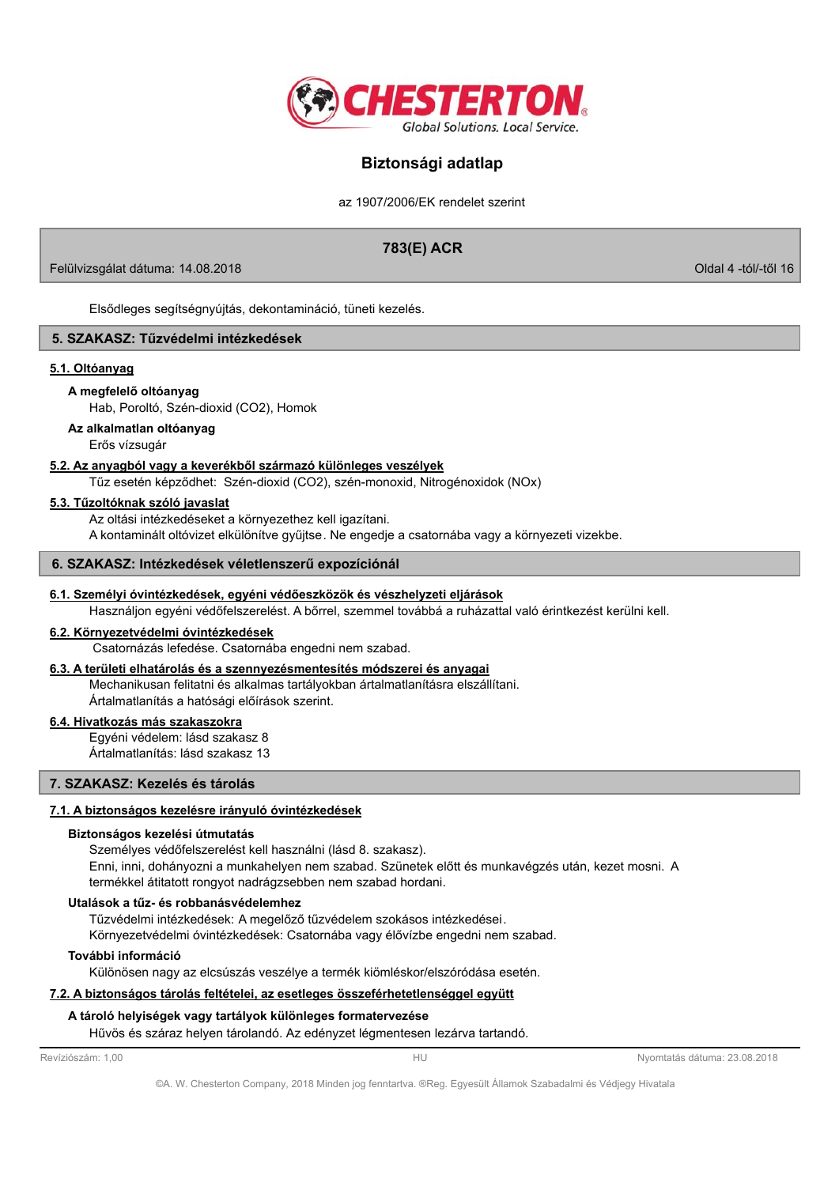

az 1907/2006/EK rendelet szerint

## 783(E) ACR

Felülvizsgálat dátuma: 14.08.2018

Oldal 4 -tól/-től 16

Elsődleges segítségnyújtás, dekontamináció, tüneti kezelés.

### 5. SZAKASZ: Tűzvédelmi intézkedések

### 5.1. Oltóanvag

### A megfelelő oltóanyag

Hab, Poroltó, Szén-dioxid (CO2), Homok

## Az alkalmatlan oltóanyag

Erős vízsugár

### 5.2. Az anyagból vagy a keverékből származó különleges veszélyek

Tűz esetén képződhet: Szén-dioxid (CO2), szén-monoxid, Nitrogénoxidok (NOx)

## 5.3. Tűzoltóknak szóló javaslat

Az oltási intézkedéseket a környezethez kell igazítani. A kontaminált oltóvizet elkülönítve gyűjtse. Ne engedje a csatornába vagy a környezeti vizekbe.

### 6. SZAKASZ: Intézkedések véletlenszerű expozíciónál

### 6.1. Személyi óvintézkedések, egyéni védőeszközök és vészhelyzeti eljárások

Használjon egyéni védőfelszerelést. A bőrrel, szemmel továbbá a ruházattal való érintkezést kerülni kell.

### 6.2. Környezetvédelmi óvintézkedések

Csatornázás lefedése. Csatornába engedni nem szabad.

### 6.3. A területi elhatárolás és a szennyezésmentesítés módszerei és anyagai

Mechanikusan felitatni és alkalmas tartályokban ártalmatlanításra elszállítani. Ártalmatlanítás a hatósági előírások szerint.

### 6.4. Hivatkozás más szakaszokra

Egyéni védelem: lásd szakasz 8 Ártalmatlanítás: lásd szakasz 13

### 7. SZAKASZ: Kezelés és tárolás

### 7.1. A biztonságos kezelésre irányuló óvintézkedések

### Biztonságos kezelési útmutatás

Személyes védőfelszerelést kell használni (lásd 8. szakasz). Enni, inni, dohányozni a munkahelyen nem szabad. Szünetek előtt és munkayégzés után, kezet mosni. A termékkel átitatott rongyot nadrágzsebben nem szabad hordani.

### Utalások a tűz- és robbanásvédelemhez

Tűzvédelmi intézkedések: A megelőző tűzvédelem szokásos intézkedései.

Környezetvédelmi óvintézkedések: Csatornába vagy élővízbe engedni nem szabad.

### További információ

Különösen nagy az elcsúszás veszélye a termék kiömléskor/elszóródása esetén.

## 7.2. A biztonságos tárolás feltételei, az esetleges összeférhetetlenséggel együtt

## A tároló helviségek vagy tartályok különleges formatervezése

Hűvös és száraz helyen tárolandó. Az edényzet légmentesen lezárva tartandó.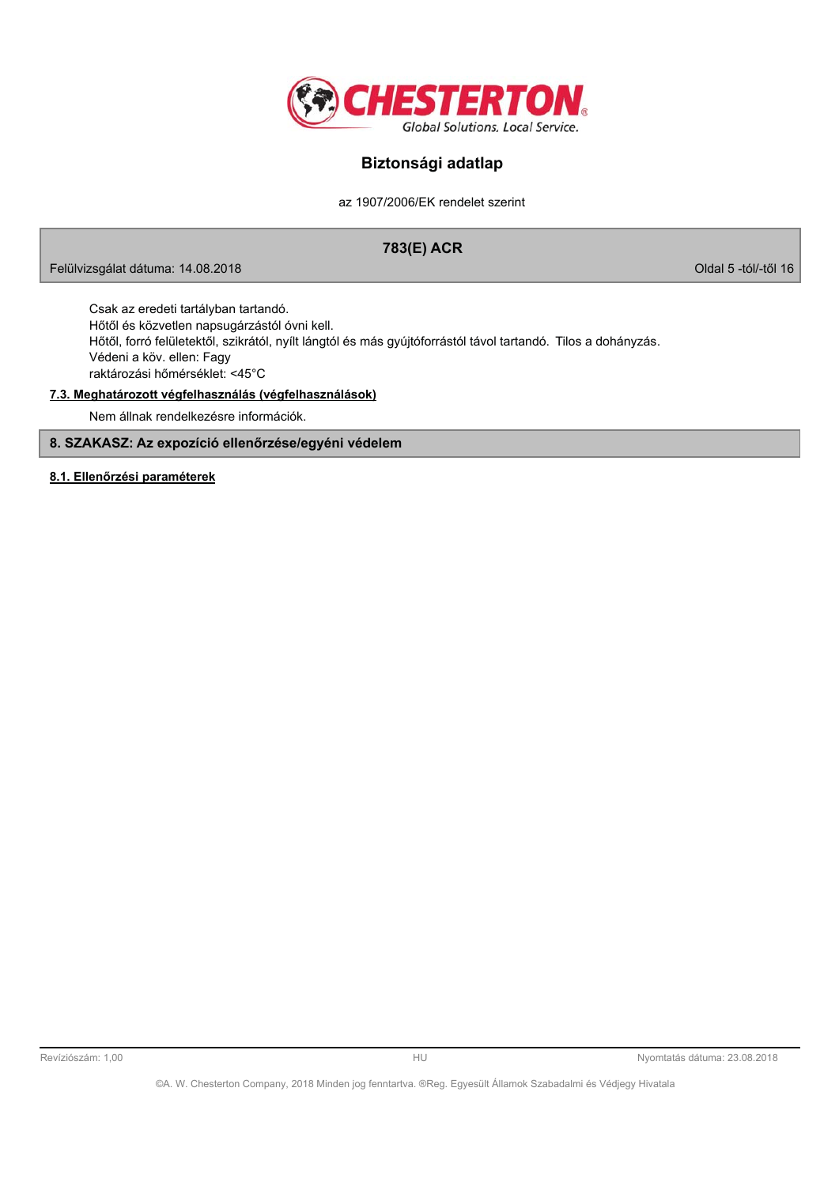

az 1907/2006/EK rendelet szerint

# 783(E) ACR

Felülvizsgálat dátuma: 14.08.2018

Oldal 5 -tól/-től 16

Csak az eredeti tartályban tartandó. Hőtől és közvetlen napsugárzástól óvni kell. Hőtől, forró felületektől, szikrától, nyílt lángtól és más gyújtóforrástól távol tartandó. Tilos a dohányzás. Védeni a köv. ellen: Fagy raktározási hőmérséklet: <45°C

## 7.3. Meghatározott végfelhasználás (végfelhasználások)

Nem állnak rendelkezésre információk.

## 8. SZAKASZ: Az expozíció ellenőrzése/egyéni védelem

### 8.1. Ellenőrzési paraméterek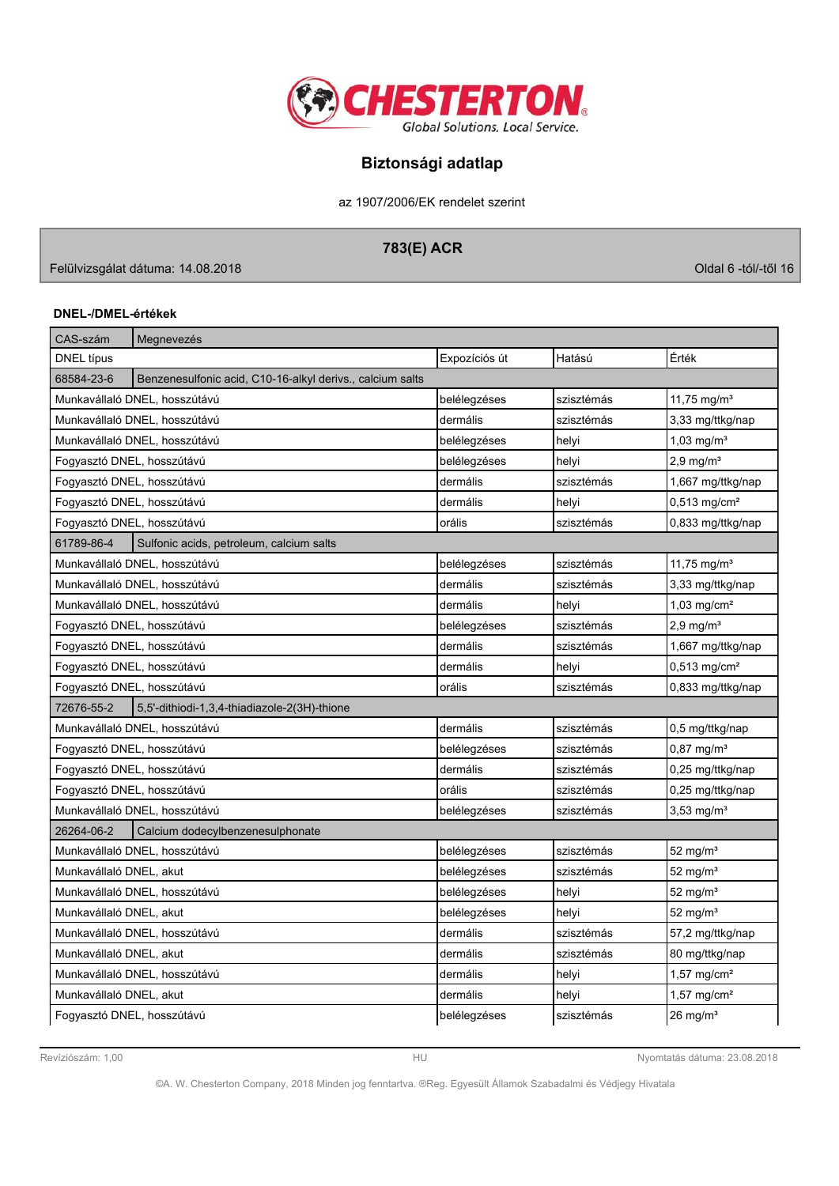

az 1907/2006/EK rendelet szerint

783(E) ACR

Pelülvizsgálat dátuma: 14.08.2018 a composition de la composition de la composition de la composition de la composition de la composition de la composition de la composition de la composition de la composition de la compos

### **DNEL-/DMEL-értékek**

| CAS-szám                      | Megnevezés                                                |               |            |                            |
|-------------------------------|-----------------------------------------------------------|---------------|------------|----------------------------|
| DNEL típus                    |                                                           | Expozíciós út | Hatású     | Érték                      |
| 68584-23-6                    | Benzenesulfonic acid, C10-16-alkyl derivs., calcium salts |               |            |                            |
|                               | Munkavállaló DNEL, hosszútávú                             | belélegzéses  | szisztémás | 11,75 mg/m <sup>3</sup>    |
|                               | Munkavállaló DNEL, hosszútávú                             | dermális      | szisztémás | 3,33 mg/ttkg/nap           |
|                               | Munkavállaló DNEL, hosszútávú                             | belélegzéses  | helyi      | 1,03 mg/m <sup>3</sup>     |
|                               | Fogyasztó DNEL, hosszútávú                                | belélegzéses  | helyi      | $2,9$ mg/m <sup>3</sup>    |
|                               | Fogyasztó DNEL, hosszútávú                                | dermális      | szisztémás | 1,667 mg/ttkg/nap          |
| Fogyasztó DNEL, hosszútávú    |                                                           | dermális      | helyi      | $0,513$ mg/cm <sup>2</sup> |
|                               | Fogyasztó DNEL, hosszútávú                                | orális        | szisztémás | 0,833 mg/ttkg/nap          |
| 61789-86-4                    | Sulfonic acids, petroleum, calcium salts                  |               |            |                            |
|                               | Munkavállaló DNEL, hosszútávú                             | belélegzéses  | szisztémás | 11,75 mg/m <sup>3</sup>    |
|                               | Munkavállaló DNEL, hosszútávú                             | dermális      | szisztémás | 3,33 mg/ttkg/nap           |
|                               | Munkavállaló DNEL, hosszútávú                             | dermális      | helyi      | $1,03$ mg/cm <sup>2</sup>  |
|                               | Fogyasztó DNEL, hosszútávú                                | belélegzéses  | szisztémás | $2,9$ mg/m <sup>3</sup>    |
|                               | Fogyasztó DNEL, hosszútávú                                | dermális      | szisztémás | 1,667 mg/ttkg/nap          |
|                               | Fogyasztó DNEL, hosszútávú                                | dermális      | helyi      | $0,513$ mg/cm <sup>2</sup> |
| Fogyasztó DNEL, hosszútávú    |                                                           | orális        | szisztémás | 0,833 mg/ttkg/nap          |
| 72676-55-2                    | 5,5'-dithiodi-1,3,4-thiadiazole-2(3H)-thione              |               |            |                            |
|                               | Munkavállaló DNEL, hosszútávú                             | dermális      | szisztémás | 0,5 mg/ttkg/nap            |
|                               | Fogyasztó DNEL, hosszútávú                                | belélegzéses  | szisztémás | $0,87$ mg/m <sup>3</sup>   |
|                               | Fogyasztó DNEL, hosszútávú                                | dermális      | szisztémás | 0,25 mg/ttkg/nap           |
|                               | Fogyasztó DNEL, hosszútávú                                | orális        | szisztémás | 0,25 mg/ttkg/nap           |
|                               | Munkavállaló DNEL, hosszútávú                             | belélegzéses  | szisztémás | 3,53 mg/m <sup>3</sup>     |
| 26264-06-2                    | Calcium dodecylbenzenesulphonate                          |               |            |                            |
|                               | Munkavállaló DNEL, hosszútávú                             | belélegzéses  | szisztémás | 52 mg/ $m3$                |
| Munkavállaló DNEL, akut       |                                                           | belélegzéses  | szisztémás | $52$ mg/m <sup>3</sup>     |
| Munkavállaló DNEL, hosszútávú |                                                           | belélegzéses  | helyi      | 52 mg/m <sup>3</sup>       |
| Munkavállaló DNEL, akut       |                                                           | belélegzéses  | helyi      | 52 mg/m <sup>3</sup>       |
|                               | Munkavállaló DNEL, hosszútávú                             | dermális      | szisztémás | 57,2 mg/ttkg/nap           |
| Munkavállaló DNEL, akut       |                                                           | dermális      | szisztémás | 80 mg/ttkg/nap             |
|                               | Munkavállaló DNEL, hosszútávú                             | dermális      | helyi      | $1,57$ mg/cm <sup>2</sup>  |
| Munkavállaló DNEL, akut       |                                                           | dermális      | helyi      | $1,57$ mg/cm <sup>2</sup>  |
| Fogyasztó DNEL, hosszútávú    |                                                           | belélegzéses  | szisztémás | $26$ mg/m <sup>3</sup>     |

©A. W. Chesterton Company, 2018 Minden jog fenntartva. ®Reg. Egyesült Államok Szabadalmi és Védjegy Hivatala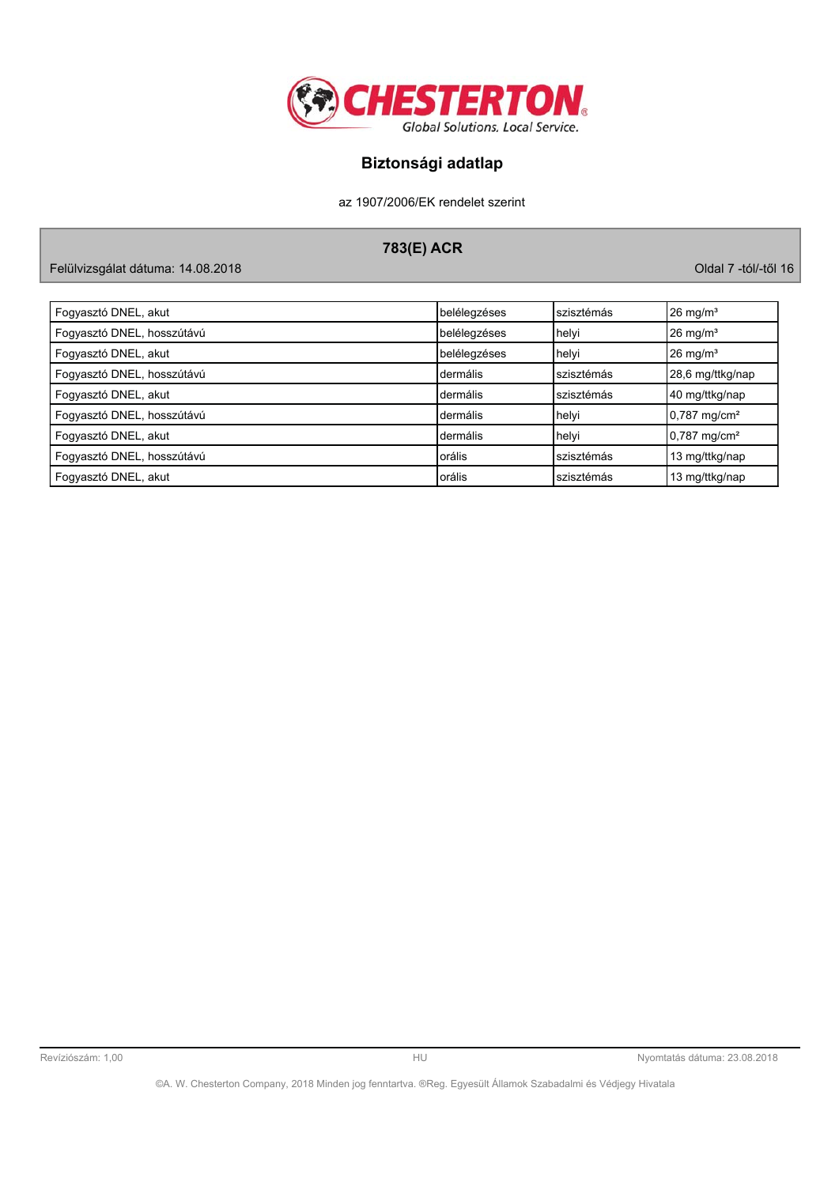

az 1907/2006/EK rendelet szerint

# 783(E) ACR

Pelülvizsgálat dátuma: 14.08.2018 biztanlar a szerint a szerint a szerint a szerint a szerint a szerint a szerint a szerint a szerint a szerint a szerint a szerint a szerint a szerint a szerint a szerint a szerint a szerin

| Fogyasztó DNEL, akut       | belélegzéses | szisztémás | $26 \text{ mg/m}^3$        |
|----------------------------|--------------|------------|----------------------------|
| Fogyasztó DNEL, hosszútávú | belélegzéses | helyi      | $26 \text{ mg/m}^3$        |
| Fogyasztó DNEL, akut       | belélegzéses | helyi      | $26 \text{ mg/m}^3$        |
| Fogyasztó DNEL, hosszútávú | Idermális    | szisztémás | 28,6 mg/ttkg/nap           |
| Fogyasztó DNEL, akut       | dermális     | szisztémás | 40 mg/ttkg/nap             |
| Fogyasztó DNEL, hosszútávú | dermális     | helyi      | $0,787$ mg/cm <sup>2</sup> |
| Fogyasztó DNEL, akut       | dermális     | helyi      | $0,787 \text{ mg/cm}^2$    |
| Fogyasztó DNEL, hosszútávú | Iorális      | szisztémás | 13 mg/ttkg/nap             |
| Fogyasztó DNEL, akut       | Iorális      | szisztémás | 13 mg/ttkg/nap             |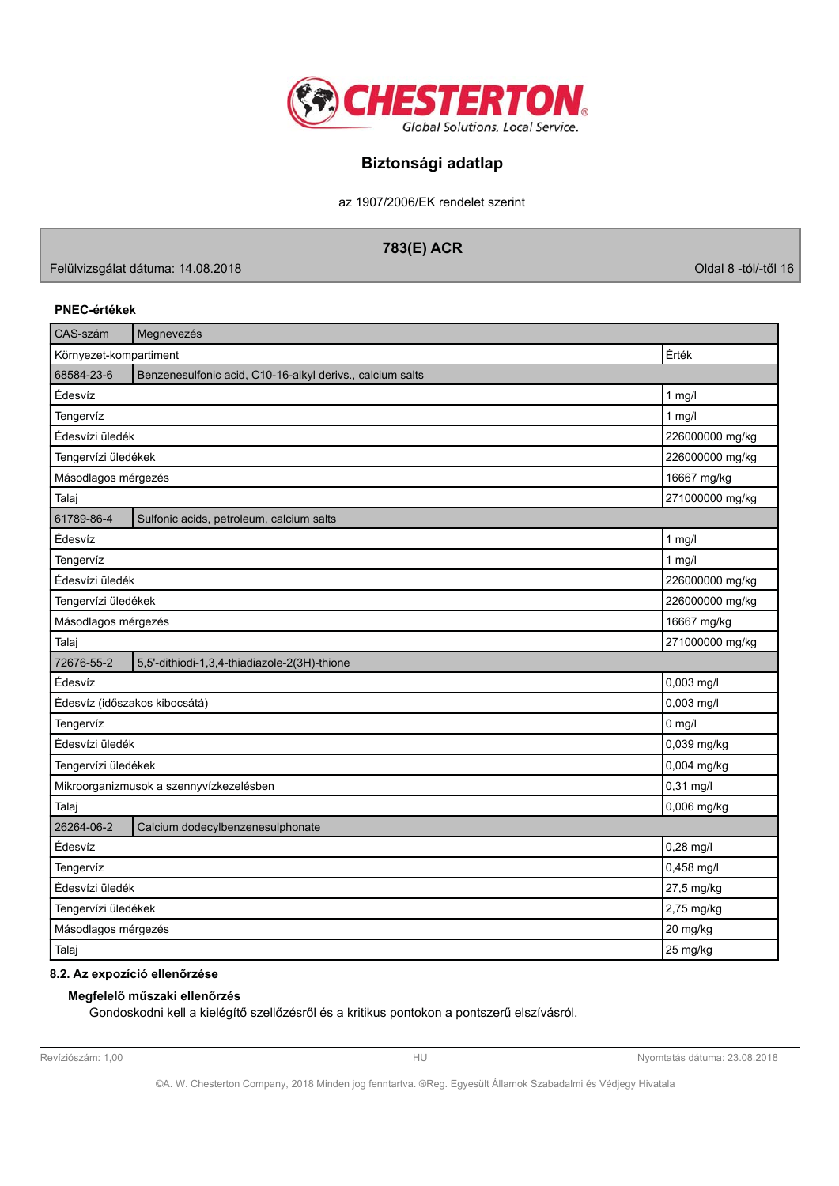

az 1907/2006/EK rendelet szerint

783(E) ACR

Felülvizsgálat dátuma: 14.08.2018

Oldal 8 -tól/-től 16

## PNEC-értékek

| CAS-szám                                    | Megnevezés                                                |                 |
|---------------------------------------------|-----------------------------------------------------------|-----------------|
| Környezet-kompartiment                      |                                                           | Érték           |
| 68584-23-6                                  | Benzenesulfonic acid, C10-16-alkyl derivs., calcium salts |                 |
| Édesvíz                                     |                                                           | $1$ mg/l        |
| Tengervíz                                   |                                                           | $1$ mg/l        |
| Édesvízi üledék                             |                                                           | 226000000 mg/kg |
| Tengervízi üledékek                         |                                                           | 226000000 mg/kg |
| Másodlagos mérgezés                         |                                                           | 16667 mg/kg     |
| Talaj                                       |                                                           | 271000000 mg/kg |
| 61789-86-4                                  | Sulfonic acids, petroleum, calcium salts                  |                 |
| Édesvíz                                     |                                                           | $1$ mg/l        |
| Tengervíz                                   |                                                           | $1$ mg/l        |
| Édesvízi üledék                             |                                                           | 226000000 mg/kg |
| Tengervízi üledékek                         |                                                           | 226000000 mg/kg |
| Másodlagos mérgezés                         |                                                           | 16667 mg/kg     |
| Talaj                                       |                                                           | 271000000 mg/kg |
| 72676-55-2                                  | 5,5'-dithiodi-1,3,4-thiadiazole-2(3H)-thione              |                 |
| Édesvíz                                     |                                                           | 0,003 mg/l      |
| 0,003 mg/l<br>Édesvíz (időszakos kibocsátá) |                                                           |                 |
| Tengervíz                                   | $0$ mg/l                                                  |                 |
|                                             | Édesvízi üledék                                           |                 |
| Tengervízi üledékek                         |                                                           | 0,004 mg/kg     |
|                                             | Mikroorganizmusok a szennyvízkezelésben                   | 0,31 mg/l       |
| Talaj                                       |                                                           | 0,006 mg/kg     |
| 26264-06-2                                  | Calcium dodecylbenzenesulphonate                          |                 |
| Édesvíz                                     |                                                           | $0,28$ mg/l     |
| Tengervíz                                   |                                                           | 0,458 mg/l      |
| Édesvízi üledék                             |                                                           | 27,5 mg/kg      |
| Tengervízi üledékek                         |                                                           | 2,75 mg/kg      |
| Másodlagos mérgezés                         |                                                           | 20 mg/kg        |
| Talaj                                       |                                                           | 25 mg/kg        |

## 8.2. Az expozíció ellenőrzése

## Megfelelő műszaki ellenőrzés

Gondoskodni kell a kielégítő szellőzésről és a kritikus pontokon a pontszerű elszívásról.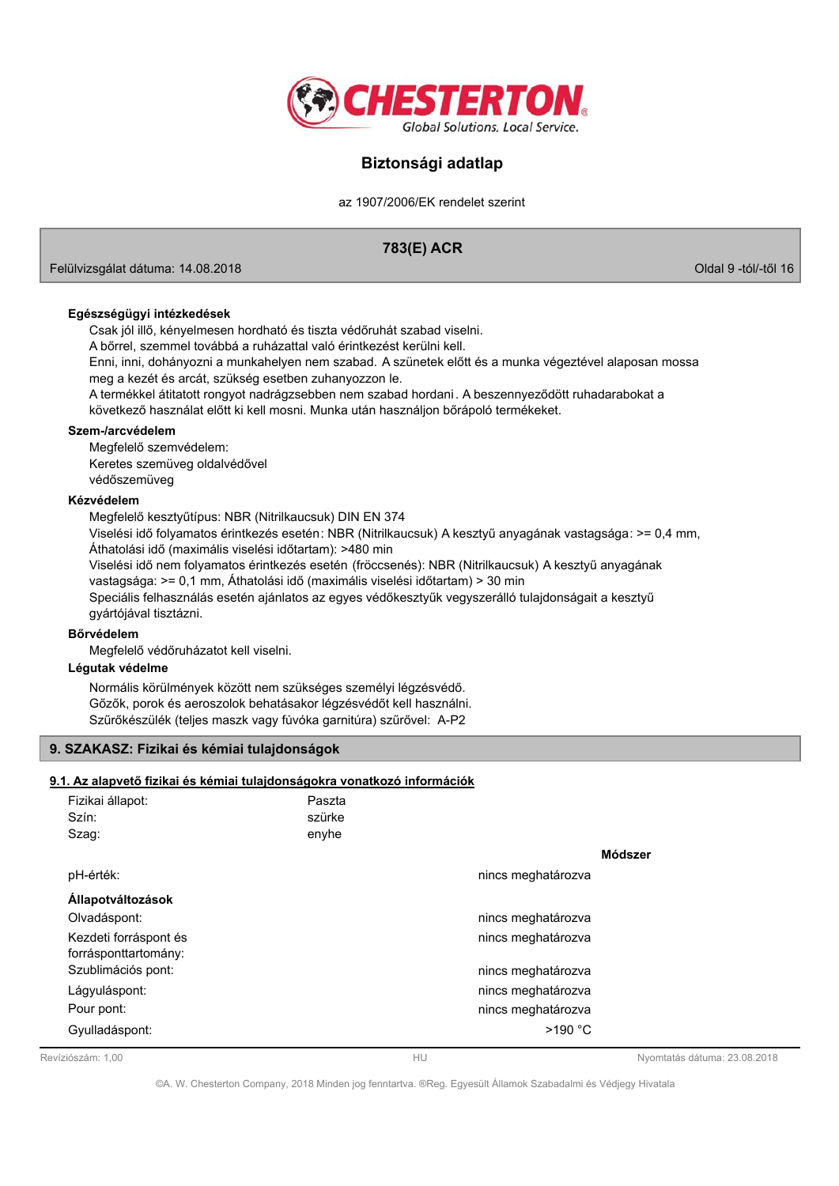

az 1907/2006/EK rendelet szerint

## 783(E) ACR

Felülvizsgálat dátuma: 14.08.2018

### Egészségügyi intézkedések

Csak jól illő, kényelmesen hordható és tiszta védőruhát szabad viselni.

A bőrrel, szemmel továbbá a ruházattal való érintkezést kerülni kell.

Enni, inni, dohányozni a munkahelyen nem szabad. A szünetek előtt és a munka végeztével alaposan mossa meg a kezét és arcát, szükség esetben zuhanyozzon le.

A termékkel átitatott rongyot nadrágzsebben nem szabad hordani. A beszennyeződött ruhadarabokat a következő használat előtt ki kell mosni. Munka után használjon bőrápoló termékeket.

#### Szem-/arcvédelem

Megfelelő szemvédelem: Keretes szemüveg oldalvédővel védőszemüveg

### Kézvédelem

Megfelelő kesztyűtípus: NBR (Nitrilkaucsuk) DIN EN 374

Viselési idő folyamatos érintkezés esetén: NBR (Nitrilkaucsuk) A kesztyű anyagának vastagsága: >= 0,4 mm, Áthatolási idő (maximális viselési időtartam): >480 min

Viselési idő nem folyamatos érintkezés esetén (fröccsenés): NBR (Nitrilkaucsuk) A kesztyű anyagának

vastagsága: >= 0,1 mm, Áthatolási idő (maximális viselési időtartam) > 30 min

Speciális felhasználás esetén ajánlatos az egyes védőkesztyűk vegyszerálló tulajdonságait a kesztyű gyártójával tisztázni.

### **Bőrvédelem**

Megfelelő védőruházatot kell viselni.

### Légutak védelme

Normális körülmények között nem szükséges személyi légzésvédő. Gőzők, porok és aeroszolok behatásakor légzésvédőt kell használni. Szűrőkészülék (teljes maszk vagy fúvóka garnitúra) szűrővel: A-P2

### 9. SZAKASZ: Fizikai és kémiai tulajdonságok

### 9.1. Az alapvető fizikai és kémiai tulajdonságokra vonatkozó információk

| Fizikai állapot:      | Paszta |                    |         |
|-----------------------|--------|--------------------|---------|
| Szín:                 | szürke |                    |         |
| Szag:                 | enyhe  |                    |         |
|                       |        |                    | Módszer |
| pH-érték:             |        | nincs meghatározva |         |
| Állapotváltozások     |        |                    |         |
| Olvadáspont:          |        | nincs meghatározva |         |
| Kezdeti forráspont és |        | nincs meghatározva |         |
| forrásponttartomány:  |        |                    |         |
| Szublimációs pont:    |        | nincs meghatározva |         |
| Lágyuláspont:         |        | nincs meghatározva |         |
| Pour pont:            |        | nincs meghatározva |         |
| Gyulladáspont:        |        | $>190$ °C          |         |
|                       |        |                    |         |

Revíziószám: 1.00

Nyomtatás dátuma: 23.08.2018

©A. W. Chesterton Company, 2018 Minden jog fenntartva. ®Reg. Egyesült Államok Szabadalmi és Védjegy Hivatala

Oldal 9 -tól/-től 16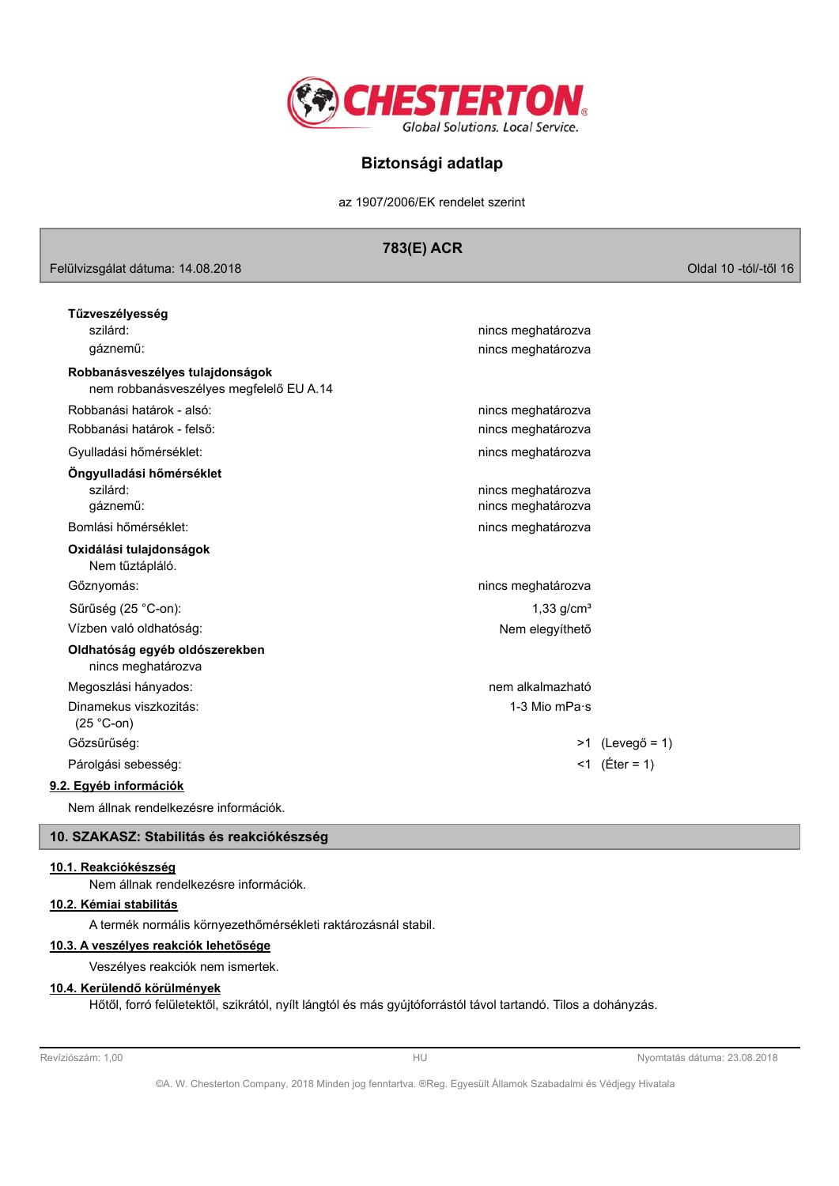

az 1907/2006/EK rendelet szerint

## 783(E) ACR

Pelülvizsgálat dátuma: 14.08.2018 bizta az eleten a szerepelt a szerepelt a szerepelt a szerepelt a szerepelt a szerepelt a szerepelt a szerepelt a szerepelt a szerepelt a szerepelt a szerepelt a szerepelt a szerepelt a sz

| Tűzveszélyesség                                                            |                                          |                   |
|----------------------------------------------------------------------------|------------------------------------------|-------------------|
| szilárd:                                                                   | nincs meghatározva                       |                   |
| gáznemű:                                                                   | nincs meghatározva                       |                   |
| Robbanásveszélyes tulajdonságok<br>nem robbanásveszélyes megfelelő EU A.14 |                                          |                   |
| Robbanási határok - alsó:                                                  | nincs meghatározva                       |                   |
| Robbanási határok - felső:                                                 | nincs meghatározva                       |                   |
| Gyulladási hőmérséklet:                                                    | nincs meghatározva                       |                   |
| Öngyulladási hőmérséklet                                                   |                                          |                   |
| szilárd:<br>gáznemű:                                                       | nincs meghatározva<br>nincs meghatározva |                   |
| Bomlási hőmérséklet:                                                       | nincs meghatározva                       |                   |
| Oxidálási tulajdonságok<br>Nem tűztápláló.                                 |                                          |                   |
| Gőznyomás:                                                                 | nincs meghatározva                       |                   |
| Sűrűség (25 °C-on):                                                        | $1,33$ g/cm <sup>3</sup>                 |                   |
| Vízben való oldhatóság:                                                    | Nem elegyíthető                          |                   |
| Oldhatóság egyéb oldószerekben<br>nincs meghatározva                       |                                          |                   |
| Megoszlási hányados:                                                       | nem alkalmazható                         |                   |
| Dinamekus viszkozitás:<br>$(25 °C$ -on)                                    | 1-3 Mio mPa·s                            |                   |
| Gőzsűrűség:                                                                |                                          | $>1$ (Levegő = 1) |
| Párolgási sebesség:                                                        |                                          | <1 (Éter = 1)     |
| 9.2. Egyéb információk                                                     |                                          |                   |
| Nem állnak rendelkezésre információk.                                      |                                          |                   |
| 10. SZAKASZ: Stabilitás és reakciókészség                                  |                                          |                   |

## 10.1. Reakciókészség

Nem állnak rendelkezésre információk.

## 10.2. Kémiai stabilitás

A termék normális környezethőmérsékleti raktározásnál stabil.

## 10.3. A veszélyes reakciók lehetősége

Veszélyes reakciók nem ismertek.

### **10.4. Kerülendő körülmények**

Hőtől, forró felületektől, szikrától, nyílt lángtól és más gyújtóforrástól távol tartandó. Tilos a dohányzás.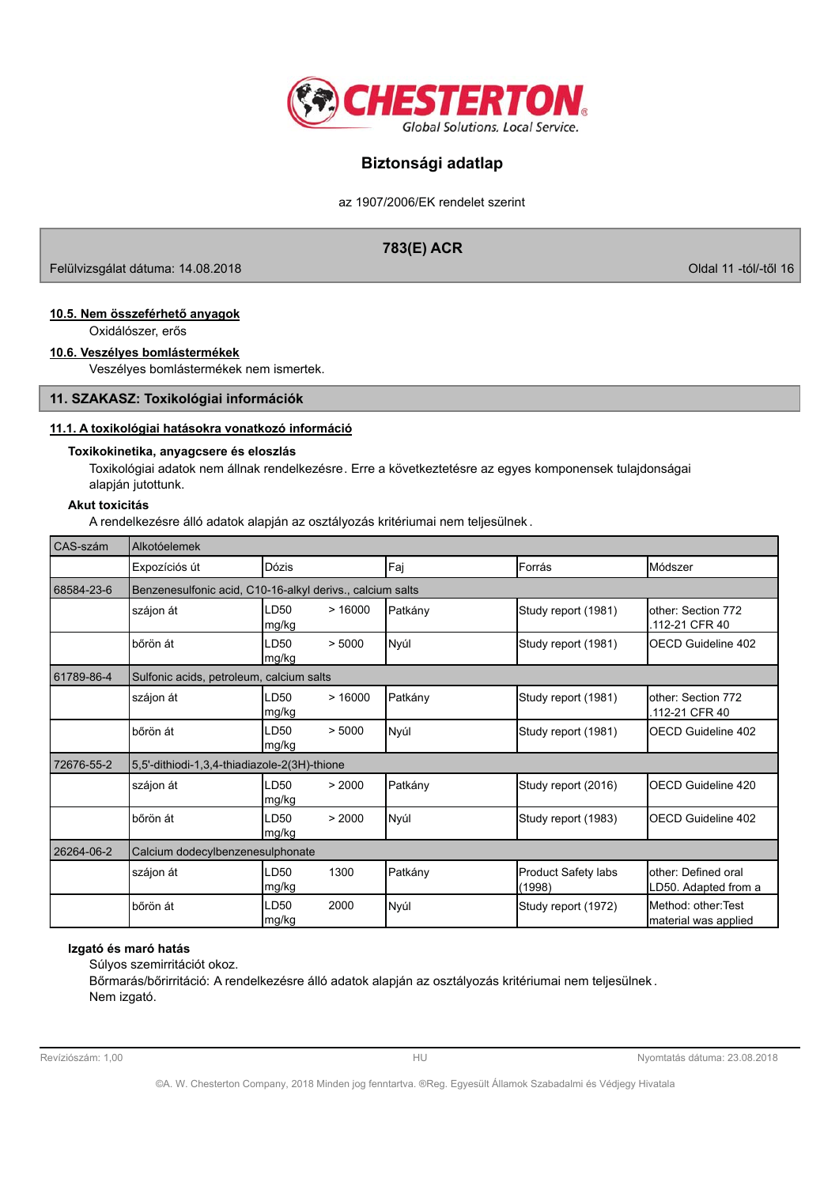

az 1907/2006/EK rendelet szerint

## 783(E) ACR

Felülvizsgálat dátuma: 14.08.2018

Oldal 11 -tól/-től 16

### 10.5. Nem összeférhető anyagok

Oxidálószer, erős

## 10.6. Veszélyes bomlástermékek

Veszélyes bomlástermékek nem ismertek.

## 11. SZAKASZ: Toxikológiai információk

### 11.1. A toxikológiai hatásokra vonatkozó információ

### Toxikokinetika, anyagcsere és eloszlás

Toxikológiai adatok nem állnak rendelkezésre. Erre a következtetésre az egyes komponensek tulajdonságai alapján jutottunk.

#### Akut toxicitás

A rendelkezésre álló adatok alapján az osztályozás kritériumai nem teljesülnek.

| CAS-szám   | Alkotóelemek                                              |                           |        |         |                                      |                                             |
|------------|-----------------------------------------------------------|---------------------------|--------|---------|--------------------------------------|---------------------------------------------|
|            | Expozíciós út                                             | Dózis                     |        | Faj     | Forrás                               | Módszer                                     |
| 68584-23-6 | Benzenesulfonic acid, C10-16-alkyl derivs., calcium salts |                           |        |         |                                      |                                             |
|            | szájon át                                                 | LD <sub>50</sub><br>mg/kg | >16000 | Patkány | Study report (1981)                  | other: Section 772<br>112-21 CFR 40         |
|            | bőrön át                                                  | LD50<br>mg/kg             | > 5000 | Nyúl    | Study report (1981)                  | <b>OECD Guideline 402</b>                   |
| 61789-86-4 | Sulfonic acids, petroleum, calcium salts                  |                           |        |         |                                      |                                             |
|            | szájon át                                                 | LD50<br>mg/kg             | >16000 | Patkány | Study report (1981)                  | other: Section 772<br>112-21 CFR 40         |
|            | bőrön át                                                  | LD50<br>mg/kg             | > 5000 | Nyúl    | Study report (1981)                  | <b>OECD Guideline 402</b>                   |
| 72676-55-2 | 5,5'-dithiodi-1,3,4-thiadiazole-2(3H)-thione              |                           |        |         |                                      |                                             |
|            | szájon át                                                 | LD <sub>50</sub><br>mg/kg | > 2000 | Patkány | Study report (2016)                  | OECD Guideline 420                          |
|            | bőrön át                                                  | LD <sub>50</sub><br>mg/kg | > 2000 | Nyúl    | Study report (1983)                  | OECD Guideline 402                          |
| 26264-06-2 | Calcium dodecylbenzenesulphonate                          |                           |        |         |                                      |                                             |
|            | szájon át                                                 | LD <sub>50</sub><br>mg/kg | 1300   | Patkány | <b>Product Safety labs</b><br>(1998) | other: Defined oral<br>LD50. Adapted from a |
|            | bőrön át                                                  | LD <sub>50</sub><br>mg/kg | 2000   | Nyúl    | Study report (1972)                  | Method: other:Test<br>material was applied  |

## Izgató és maró hatás

Súlyos szemirritációt okoz. Bőrmarás/bőrirritáció: A rendelkezésre álló adatok alapján az osztályozás kritériumai nem teljesülnek. Nem izgató.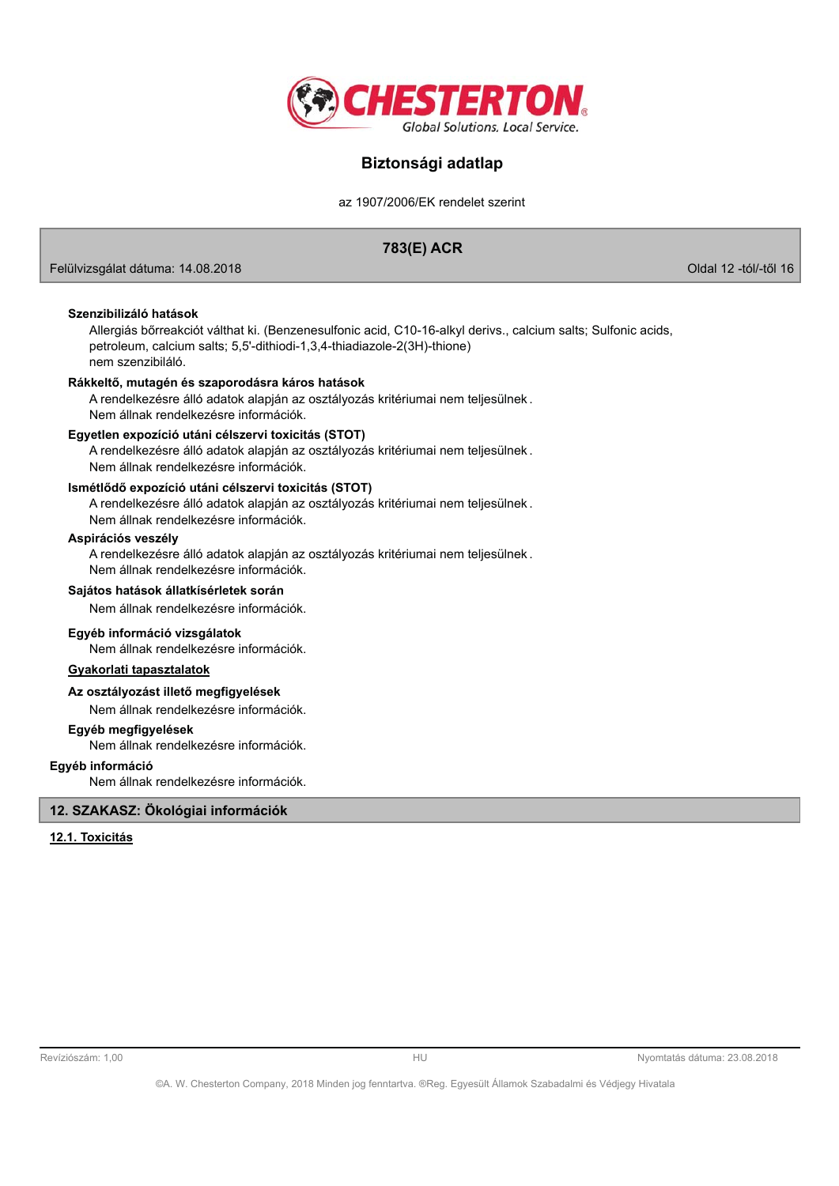

az 1907/2006/EK rendelet szerint

## 783(E) ACR

Pelülvizsgálat dátuma: 14.08.2018 bizta az eleten a szerepelt a szerepelt a szerepelt a szerepelt a szerepelt a szerepelt a szerepelt a szerepelt a szerepelt a szerepelt a szerepelt a szerepelt a szerepelt a szerepelt a sz

### Szenzibilizáló hatások

Allergiás bőrreakciót válthat ki. (Benzenesulfonic acid, C10-16-alkyl derivs., calcium salts; Sulfonic acids, petroleum, calcium salts; 5,5'-dithiodi-1,3,4-thiadiazole-2(3H)-thione) nem szenzibiláló.

### Rákkeltő, mutagén és szaporodásra káros hatások

A rendelkezésre álló adatok alapján az osztályozás kritériumai nem teljesülnek. Nem állnak rendelkezésre információk.

### Egyetlen expozíció utáni célszervi toxicitás (STOT)

A rendelkezésre álló adatok alapján az osztályozás kritériumai nem teljesülnek. Nem állnak rendelkezésre információk.

## Ismétlődő expozíció utáni célszervi toxicitás (STOT)

A rendelkezésre álló adatok alapján az osztályozás kritériumai nem teljesülnek. Nem állnak rendelkezésre információk.

## **Aspirációs veszély**

A rendelkezésre álló adatok alapján az osztályozás kritériumai nem teljesülnek. Nem állnak rendelkezésre információk.

### Sajátos hatások állatkísérletek során

Nem állnak rendelkezésre információk.

### Egyéb információ vizsgálatok

Nem állnak rendelkezésre információk.

## **Gyakorlati tapasztalatok**

## Az osztályozást illető megfigyelések

Nem állnak rendelkezésre információk.

### **Egyéb megfigyelések**

Nem állnak rendelkezésre információk.

### **Egyéb információ**

Nem állnak rendelkezésre információk

### 12. SZAKASZ: Ökológiai információk

### 12.1. Toxicitás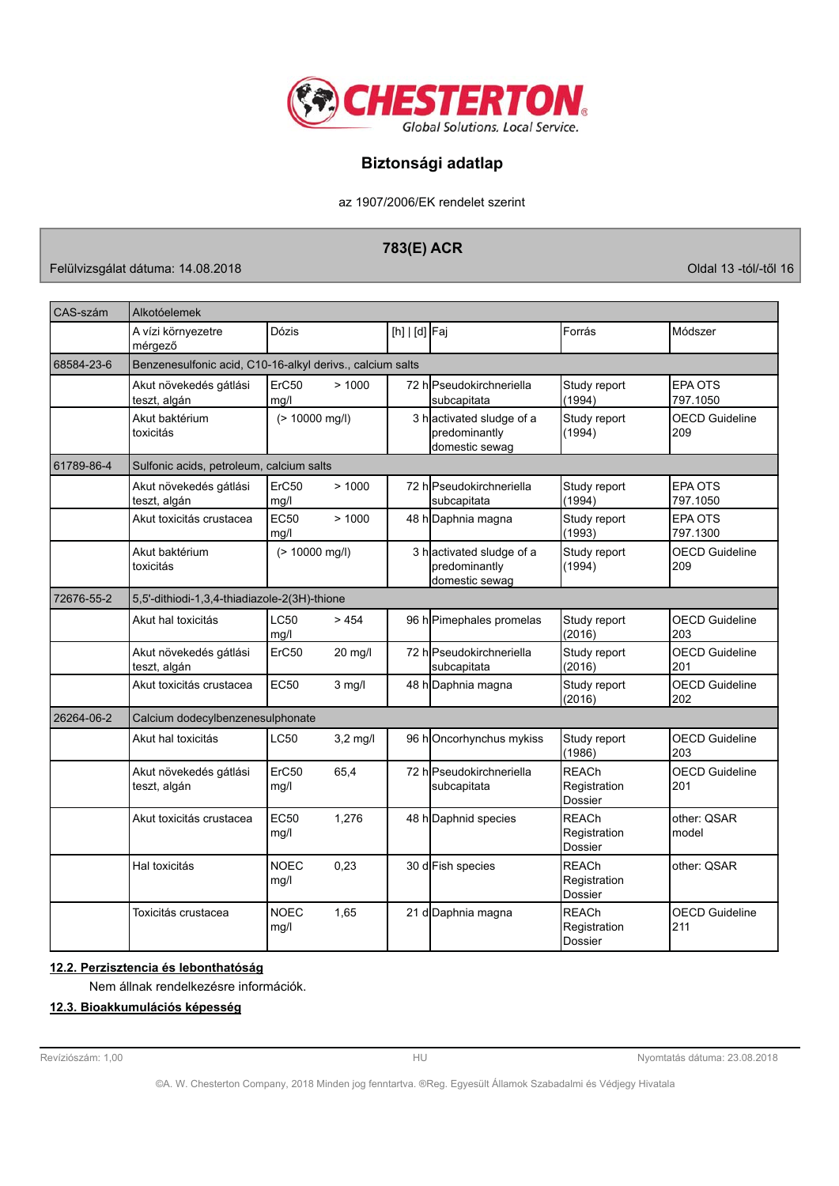

az 1907/2006/EK rendelet szerint

# 783(E) ACR

Felülvizsgálat dátuma: 14.08.2018

Oldal 13 -tól/-től 16

| CAS-szám   | Alkotóelemek                                              |                     |            |               |                                                             |                                                |                              |
|------------|-----------------------------------------------------------|---------------------|------------|---------------|-------------------------------------------------------------|------------------------------------------------|------------------------------|
|            | A vízi környezetre<br>mérgező                             | Dózis               |            | [h]   [d] Faj |                                                             | Forrás                                         | Módszer                      |
| 68584-23-6 | Benzenesulfonic acid, C10-16-alkyl derivs., calcium salts |                     |            |               |                                                             |                                                |                              |
|            | Akut növekedés gátlási<br>teszt, algán                    | ErC50<br>mg/l       | >1000      |               | 72 hPseudokirchneriella<br>subcapitata                      | Study report<br>(1994)                         | <b>EPA OTS</b><br>797.1050   |
|            | Akut baktérium<br>toxicitás                               | (> 10000 mg/l)      |            |               | 3 hactivated sludge of a<br>predominantly<br>domestic sewag | Study report<br>(1994)                         | <b>OECD Guideline</b><br>209 |
| 61789-86-4 | Sulfonic acids, petroleum, calcium salts                  |                     |            |               |                                                             |                                                |                              |
|            | Akut növekedés gátlási<br>teszt, algán                    | ErC50<br>mg/l       | >1000      |               | 72 h Pseudokirchneriella<br>subcapitata                     | Study report<br>(1994)                         | EPA OTS<br>797.1050          |
|            | Akut toxicitás crustacea                                  | <b>EC50</b><br>mg/l | >1000      |               | 48 h Daphnia magna                                          | Study report<br>(1993)                         | <b>EPA OTS</b><br>797.1300   |
|            | Akut baktérium<br>toxicitás                               | (> 10000 mg/l)      |            |               | 3 hactivated sludge of a<br>predominantly<br>domestic sewag | Study report<br>(1994)                         | <b>OECD Guideline</b><br>209 |
| 72676-55-2 | 5,5'-dithiodi-1,3,4-thiadiazole-2(3H)-thione              |                     |            |               |                                                             |                                                |                              |
|            | Akut hal toxicitás                                        | <b>LC50</b><br>mg/l | > 454      |               | 96 h Pimephales promelas                                    | Study report<br>(2016)                         | <b>OECD Guideline</b><br>203 |
|            | Akut növekedés gátlási<br>teszt, algán                    | ErC50               | 20 mg/l    |               | 72 h Pseudokirchneriella<br>subcapitata                     | Study report<br>(2016)                         | <b>OECD Guideline</b><br>201 |
|            | Akut toxicitás crustacea                                  | EC50                | 3 mg/l     |               | 48 h Daphnia magna                                          | Study report<br>(2016)                         | <b>OECD Guideline</b><br>202 |
| 26264-06-2 | Calcium dodecylbenzenesulphonate                          |                     |            |               |                                                             |                                                |                              |
|            | Akut hal toxicitás                                        | <b>LC50</b>         | $3.2$ mg/l |               | 96 hOncorhynchus mykiss                                     | Study report<br>(1986)                         | <b>OECD Guideline</b><br>203 |
|            | Akut növekedés gátlási<br>teszt, algán                    | ErC50<br>mg/l       | 65,4       |               | 72 hlPseudokirchneriella<br>subcapitata                     | <b>REACh</b><br>Registration<br><b>Dossier</b> | <b>OECD Guideline</b><br>201 |
|            | Akut toxicitás crustacea                                  | <b>EC50</b><br>mg/l | 1,276      |               | 48 h Daphnid species                                        | <b>REACh</b><br>Registration<br>Dossier        | other: QSAR<br>model         |
|            | Hal toxicitás                                             | <b>NOEC</b><br>mg/l | 0,23       |               | 30 d Fish species                                           | <b>REACh</b><br>Registration<br>Dossier        | other: QSAR                  |
|            | Toxicitás crustacea                                       | <b>NOEC</b><br>mg/l | 1,65       |               | 21 d Daphnia magna                                          | <b>REACh</b><br>Registration<br><b>Dossier</b> | <b>OECD Guideline</b><br>211 |

## 12.2. Perzisztencia és lebonthatóság

Nem állnak rendelkezésre információk.

## 12.3. Bioakkumulációs képesség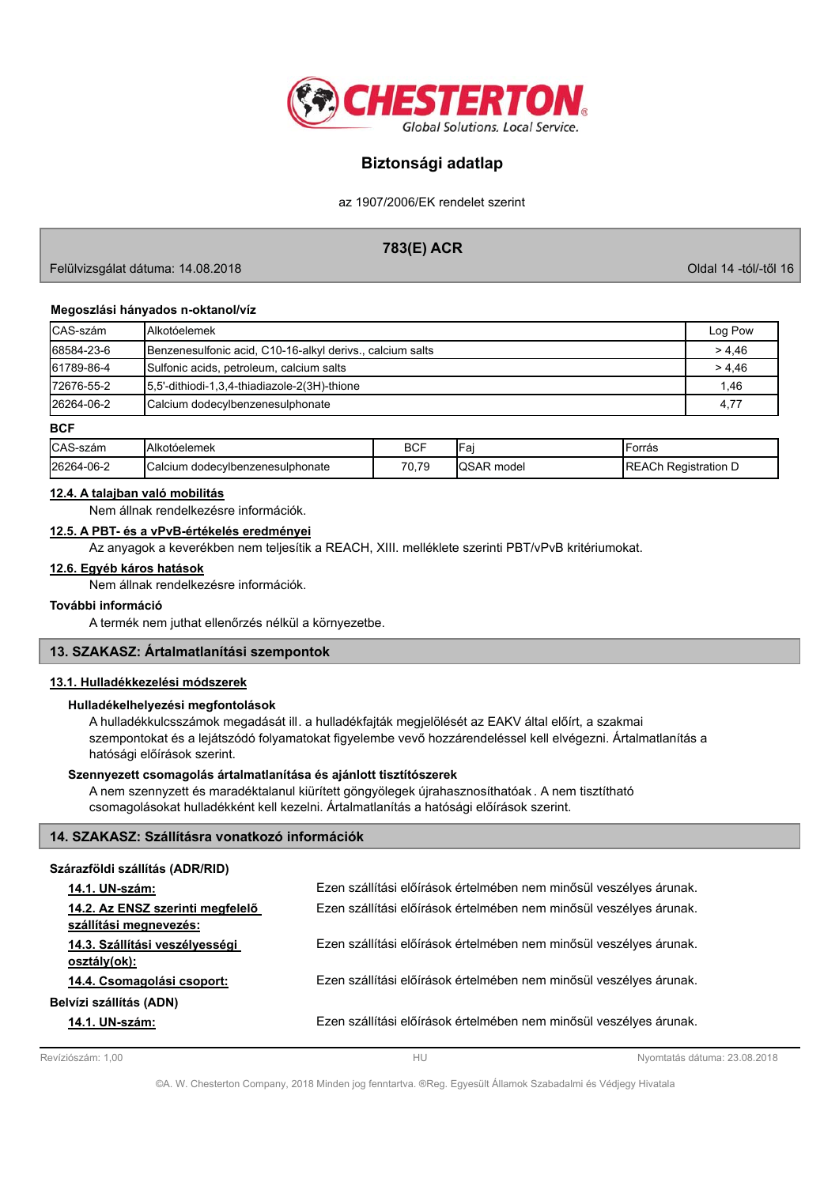

### az 1907/2006/EK rendelet szerint

## 783(E) ACR

Felülvizsgálat dátuma: 14.08.2018

Oldal 14 -tól/-től 16

### Megoszlási hányados n-oktanol/víz

| <b>CAS-szám</b> | <b>IAlkotóelemek</b>                                      | Log Pow |
|-----------------|-----------------------------------------------------------|---------|
| 68584-23-6      | Benzenesulfonic acid, C10-16-alkyl derivs., calcium salts | > 4.46  |
| 61789-86-4      | Sulfonic acids, petroleum, calcium salts                  | > 4.46  |
| 172676-55-2     | 15,5'-dithiodi-1,3,4-thiadiazole-2(3H)-thione             | 1,46    |
| 26264-06-2      | Calcium dodecylbenzenesulphonate                          | 4.77    |

#### **BCF**

| <b>CAS-szám</b> | <b>IAlkotóelemek</b>                   | <b>BCF</b> |                         | 'Forrás                         |
|-----------------|----------------------------------------|------------|-------------------------|---------------------------------|
| 26264-06-2      | ICalcium<br>, dodecvlbenzenesulphonate | 70,79      | <b>IQSAR</b><br>model : | <b>IREACh</b><br>Registration D |

### 12.4. A talajban való mobilitás

Nem állnak rendelkezésre információk.

### 12.5. A PBT- és a vPvB-értékelés eredményei

Az anyagok a keverékben nem teljesítik a REACH, XIII. melléklete szerinti PBT/vPvB kritériumokat.

### 12.6. Egyéb káros hatások

Nem állnak rendelkezésre információk.

### További információ

A termék nem juthat ellenőrzés nélkül a környezetbe.

### 13. SZAKASZ: Ártalmatlanítási szempontok

### 13.1. Hulladékkezelési módszerek

### Hulladékelhelyezési megfontolások

A hulladékkulcsszámok megadását ill. a hulladékfajták megjelölését az EAKV által előírt, a szakmai szempontokat és a lejátszódó folyamatokat figyelembe vevő hozzárendeléssel kell elvégezni. Ártalmatlanítás a hatósági előírások szerint.

### Szennyezett csomagolás ártalmatlanítása és ajánlott tisztítószerek

A nem szennyzett és maradéktalanul kiürített göngyölegek újrahasznosíthatóak. A nem tisztítható csomagolásokat hulladékként kell kezelni. Ártalmatlanítás a hatósági előírások szerint.

### 14. SZAKASZ: Szállításra vonatkozó információk

## Szárazföldi szállítás (ADR/RID)

| 14.1. UN-szám:                                             | Ezen szállítási előírások értelmében nem minősül veszélyes árunak. |
|------------------------------------------------------------|--------------------------------------------------------------------|
| 14.2. Az ENSZ szerinti megfelelő<br>szállítási megnevezés: | Ezen szállítási előírások értelmében nem minősül veszélyes árunak. |
| 14.3. Szállítási veszélyességi<br>osztály(ok):             | Ezen szállítási előírások értelmében nem minősül veszélyes árunak. |
| 14.4. Csomagolási csoport:<br>Belvízi szállítás (ADN)      | Ezen szállítási előírások értelmében nem minősül veszélyes árunak. |
| 14.1. UN-szám:                                             | Ezen szállítási előírások értelmében nem minősül veszélyes árunak. |

Revíziószám: 1 00

©A. W. Chesterton Company, 2018 Minden jog fenntartva. ®Reg. Egyesült Államok Szabadalmi és Védjegy Hivatala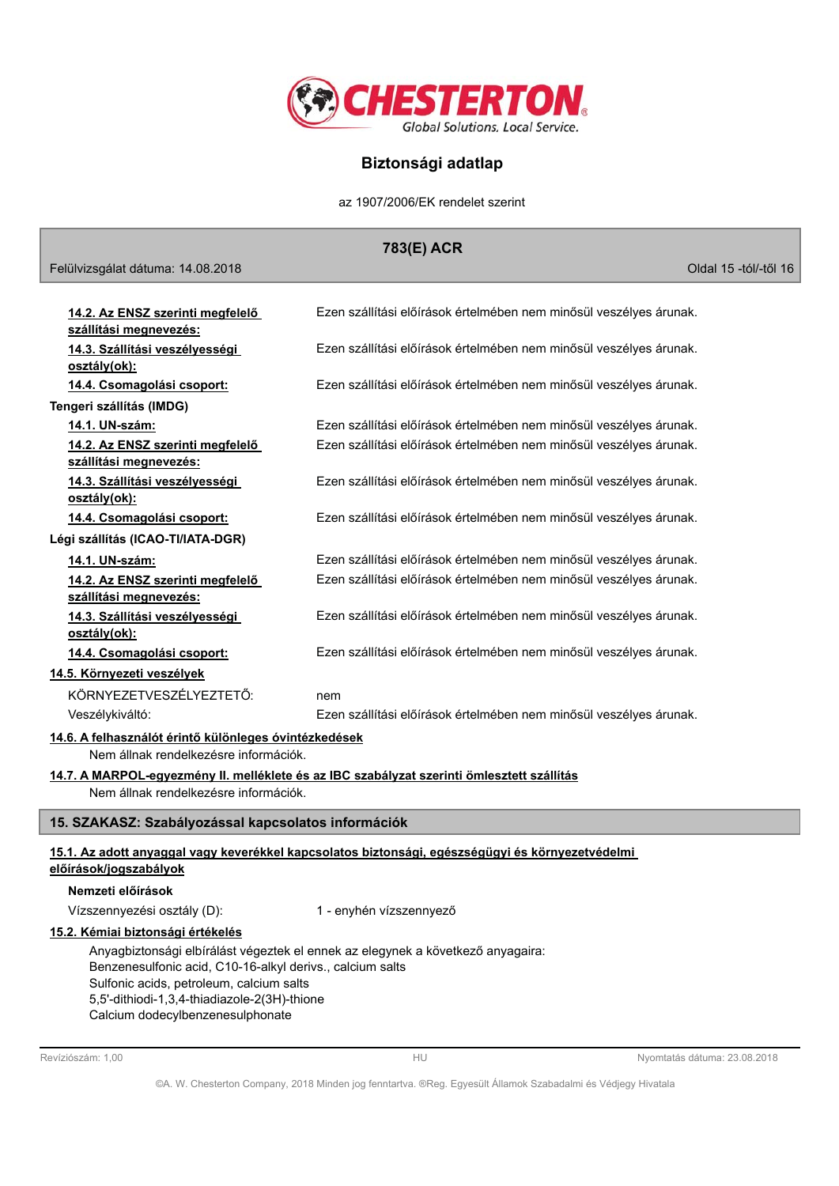

az 1907/2006/EK rendelet szerint

# 783(E) ACR

Oldal 15 -tól/-től 16

| 14.2. Az ENSZ szerinti megfelelő                                                                                                                                                          | Ezen szállítási előírások értelmében nem minősül veszélyes árunak.                               |
|-------------------------------------------------------------------------------------------------------------------------------------------------------------------------------------------|--------------------------------------------------------------------------------------------------|
| <u>szállítási megnevezés:</u>                                                                                                                                                             |                                                                                                  |
| 14.3. Szállítási veszélyességi                                                                                                                                                            | Ezen szállítási előírások értelmében nem minősül veszélyes árunak.                               |
| <u>osztály(ok):</u>                                                                                                                                                                       |                                                                                                  |
| <u>14.4. Csomagolási csoport:</u>                                                                                                                                                         | Ezen szállítási előírások értelmében nem minősül veszélyes árunak.                               |
| Tengeri szállítás (IMDG)                                                                                                                                                                  |                                                                                                  |
| 14.1. UN-szám:                                                                                                                                                                            | Ezen szállítási előírások értelmében nem minősül veszélyes árunak.                               |
| 14.2. Az ENSZ szerinti megfelelő<br>szállítási megnevezés:                                                                                                                                | Ezen szállítási előírások értelmében nem minősül veszélyes árunak.                               |
| 14.3. Szállítási veszélyességi<br>osztály(ok):                                                                                                                                            | Ezen szállítási előírások értelmében nem minősül veszélyes árunak.                               |
| 14.4. Csomagolási csoport:                                                                                                                                                                | Ezen szállítási előírások értelmében nem minősül veszélyes árunak.                               |
| Légi szállítás (ICAO-TI/IATA-DGR)                                                                                                                                                         |                                                                                                  |
| <u> 14.1. UN-szám:</u>                                                                                                                                                                    | Ezen szállítási előírások értelmében nem minősül veszélyes árunak.                               |
| 14.2. Az ENSZ szerinti megfelelő                                                                                                                                                          | Ezen szállítási előírások értelmében nem minősül veszélyes árunak.                               |
| szállítási megnevezés:                                                                                                                                                                    |                                                                                                  |
| 14.3. Szállítási veszélyességi                                                                                                                                                            | Ezen szállítási előírások értelmében nem minősül veszélyes árunak.                               |
| <u>osztály(ok):</u>                                                                                                                                                                       |                                                                                                  |
| 14.4. Csomagolási csoport:                                                                                                                                                                | Ezen szállítási előírások értelmében nem minősül veszélyes árunak.                               |
| 14.5. Környezeti veszélyek                                                                                                                                                                |                                                                                                  |
| KÖRNYEZETVESZÉLYEZTETŐ:                                                                                                                                                                   | nem                                                                                              |
| Veszélykiváltó:                                                                                                                                                                           | Ezen szállítási előírások értelmében nem minősül veszélyes árunak.                               |
| 14.6. A felhasználót érintő különleges óvintézkedések                                                                                                                                     |                                                                                                  |
| Nem állnak rendelkezésre információk.                                                                                                                                                     |                                                                                                  |
|                                                                                                                                                                                           | 14.7. A MARPOL-egyezmény II. melléklete és az IBC szabályzat szerinti ömlesztett szállítás       |
| Nem állnak rendelkezésre információk.                                                                                                                                                     |                                                                                                  |
| 15. SZAKASZ: Szabályozással kapcsolatos információk                                                                                                                                       |                                                                                                  |
|                                                                                                                                                                                           | 15.1. Az adott anyaggal vagy keverékkel kapcsolatos biztonsági, egészségügyi és környezetvédelmi |
| <u>előírások/jogszabályok</u>                                                                                                                                                             |                                                                                                  |
| Nemzeti előírások                                                                                                                                                                         |                                                                                                  |
| Vízszennyezési osztály (D):                                                                                                                                                               | 1 - enyhén vízszennyező                                                                          |
| 15.2. Kémiai biztonsági értékelés                                                                                                                                                         |                                                                                                  |
| Benzenesulfonic acid, C10-16-alkyl derivs., calcium salts<br>Sulfonic acids, petroleum, calcium salts<br>5,5'-dithiodi-1,3,4-thiadiazole-2(3H)-thione<br>Calcium dodecylbenzenesulphonate | Anyagbiztonsági elbírálást végeztek el ennek az elegynek a következő anyagaira:                  |

Revíziószám: 1.00

Г

Felülvizsgálat dátuma: 14.08.2018

Nyomtatás dátuma: 23.08.2018